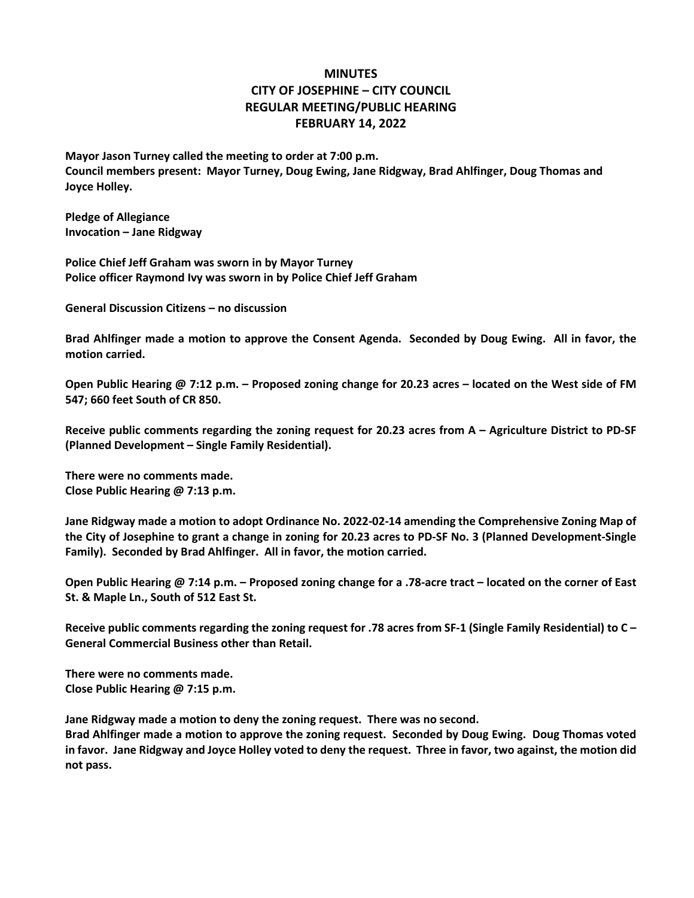## **MINUTES CITY OF JOSEPHINE – CITY COUNCIL REGULAR MEETING/PUBLIC HEARING FEBRUARY 14, 2022**

**Mayor Jason Turney called the meeting to order at 7:00 p.m. Council members present: Mayor Turney, Doug Ewing, Jane Ridgway, Brad Ahlfinger, Doug Thomas and Joyce Holley.**

**Pledge of Allegiance Invocation – Jane Ridgway**

**Police Chief Jeff Graham was sworn in by Mayor Turney Police officer Raymond Ivy was sworn in by Police Chief Jeff Graham**

**General Discussion Citizens – no discussion**

**Brad Ahlfinger made a motion to approve the Consent Agenda. Seconded by Doug Ewing. All in favor, the motion carried.**

**Open Public Hearing @ 7:12 p.m. – Proposed zoning change for 20.23 acres – located on the West side of FM 547; 660 feet South of CR 850.**

**Receive public comments regarding the zoning request for 20.23 acres from A – Agriculture District to PD-SF (Planned Development – Single Family Residential).**

**There were no comments made. Close Public Hearing @ 7:13 p.m.**

**Jane Ridgway made a motion to adopt Ordinance No. 2022-02-14 amending the Comprehensive Zoning Map of the City of Josephine to grant a change in zoning for 20.23 acres to PD-SF No. 3 (Planned Development-Single Family). Seconded by Brad Ahlfinger. All in favor, the motion carried.**

**Open Public Hearing @ 7:14 p.m. – Proposed zoning change for a .78-acre tract – located on the corner of East St. & Maple Ln., South of 512 East St.**

**Receive public comments regarding the zoning request for .78 acres from SF-1 (Single Family Residential) to C – General Commercial Business other than Retail.**

**There were no comments made. Close Public Hearing @ 7:15 p.m.**

**Jane Ridgway made a motion to deny the zoning request. There was no second.**

**Brad Ahlfinger made a motion to approve the zoning request. Seconded by Doug Ewing. Doug Thomas voted in favor. Jane Ridgway and Joyce Holley voted to deny the request. Three in favor, two against, the motion did not pass.**